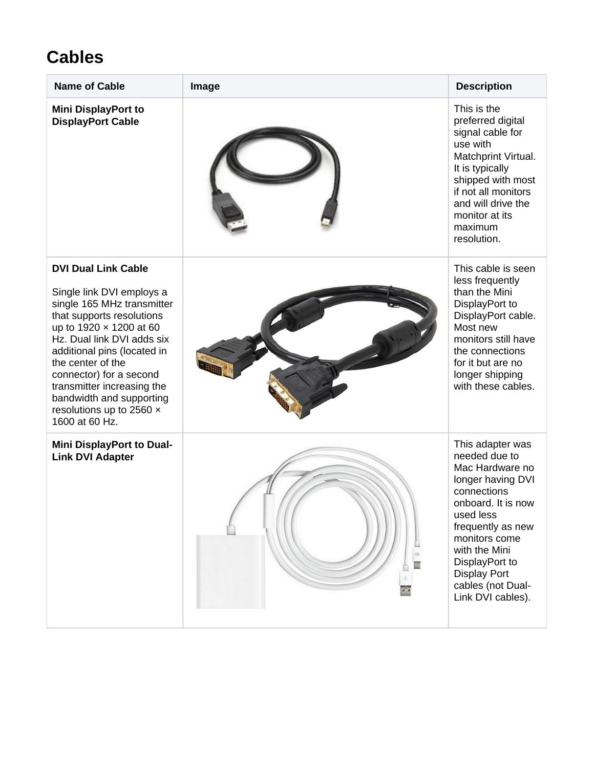## **Cables**